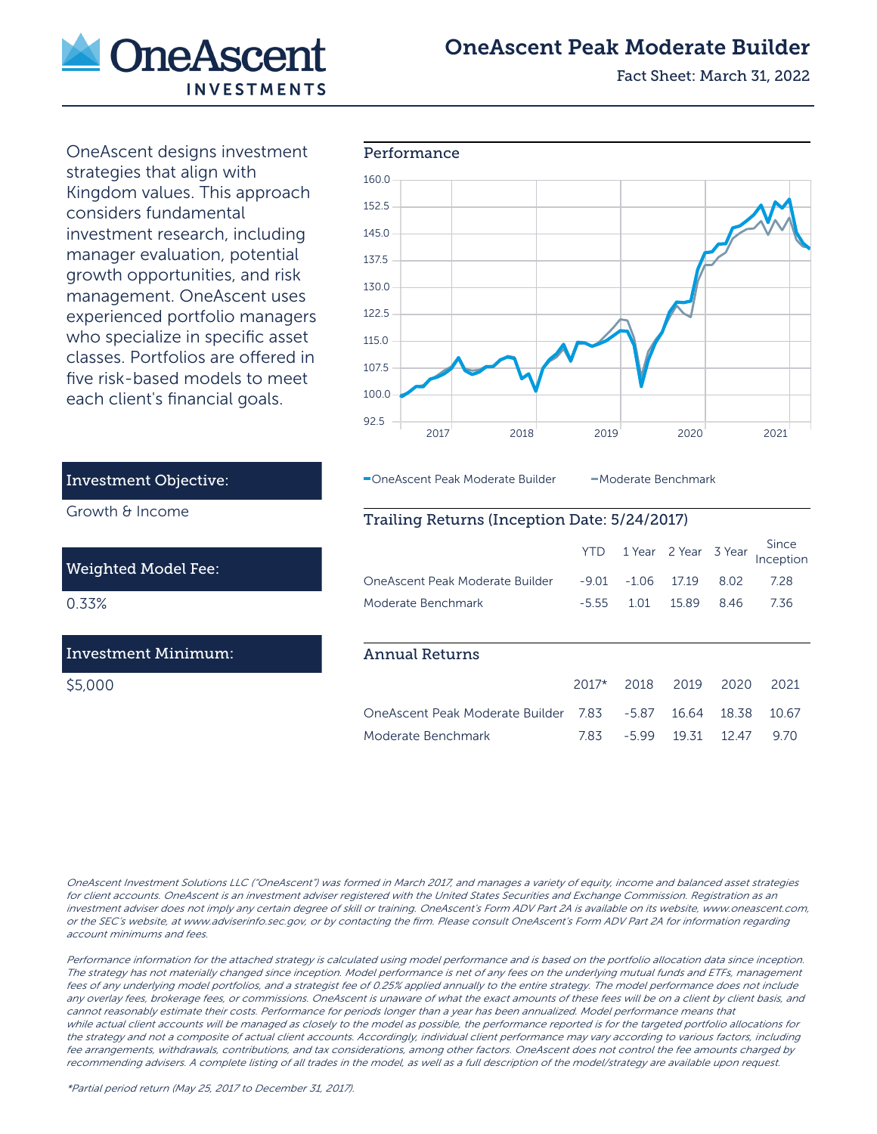

# OneAscent Peak Moderate Builder

Fact Sheet: March 31, 2022

OneAscent designs investment strategies that align with Kingdom values. This approach considers fundamental investment research, including manager evaluation, potential growth opportunities, and risk management. OneAscent uses experienced portfolio managers who specialize in specific asset classes. Portfolios are offered in five risk-based models to meet each client's financial goals.



OneAscent Peak Moderate Builder - Moderate Benchmark

## Trailing Returns (Inception Date: 5/24/2017)

|                                 | YTD.    |         | 1 Year 2 Year 3 Year |       | Since<br>Inception |
|---------------------------------|---------|---------|----------------------|-------|--------------------|
| OneAscent Peak Moderate Builder | $-9.01$ | $-1.06$ | 1719                 | 8.02  | 7.28               |
| Moderate Benchmark              | $-5.55$ | 1.01    | 15.89                | 846   | 7.36               |
|                                 |         |         |                      |       |                    |
| Annual Returns                  |         |         |                      |       |                    |
|                                 | $2017*$ | 2018    | 2019                 | 2020  | 2021               |
| OneAscent Peak Moderate Builder | 783     | $-5.87$ | 16.64                | 18.38 | 10.67              |
| Moderate Benchmark              | 7.83    | -599    | 19.31                | 12 47 | 970                |

Investment Objective:

Growth & Income

## Weighted Model Fee:

0.33%

## Investment Minimum:

\$5,000

#### OneAscent Investment Solutions LLC ("OneAscent") was formed in March 2017, and manages a variety of equity, income and balanced asset strategies for client accounts. OneAscent is an investment adviser registered with the United States Securities and Exchange Commission. Registration as an investment adviser does not imply any certain degree of skill or training. OneAscent's Form ADV Part 2A is available on its website, www.oneascent.com, or the SEC's website, at www.adviserinfo.sec.gov, or by contacting the firm. Please consult OneAscent's Form ADV Part 2A for information regarding account minimums and fees.

Performance information for the attached strategy is calculated using model performance and is based on the portfolio allocation data since inception. The strategy has not materially changed since inception. Model performance is net of any fees on the underlying mutual funds and ETFs, management fees of any underlying model portfolios, and a strategist fee of 0.25% applied annually to the entire strategy. The model performance does not include any overlay fees, brokerage fees, or commissions. OneAscent is unaware of what the exact amounts of these fees will be on a client by client basis, and cannot reasonably estimate their costs. Performance for periods longer than a year has been annualized. Model performance means that while actual client accounts will be managed as closely to the model as possible, the performance reported is for the targeted portfolio allocations for the strategy and not a composite of actual client accounts. Accordingly, individual client performance may vary according to various factors, including fee arrangements, withdrawals, contributions, and tax considerations, among other factors. OneAscent does not control the fee amounts charged by recommending advisers. A complete listing of all trades in the model, as well as a full description of the model/strategy are available upon request.